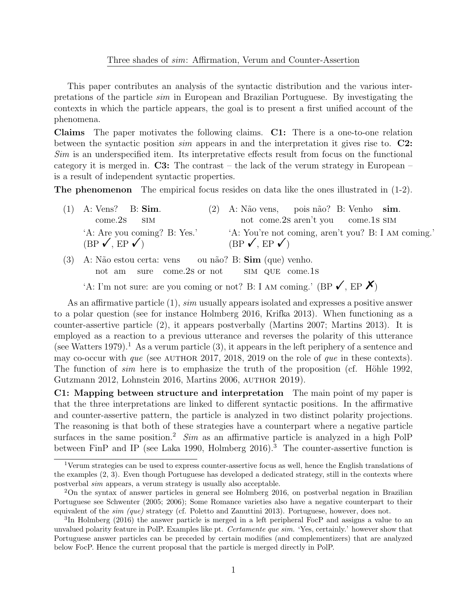## Three shades of sim: Affirmation, Verum and Counter-Assertion

This paper contributes an analysis of the syntactic distribution and the various interpretations of the particle sim in European and Brazilian Portuguese. By investigating the contexts in which the particle appears, the goal is to present a first unified account of the phenomena.

Claims The paper motivates the following claims. C1: There is a one-to-one relation between the syntactic position  $sim$  appears in and the interpretation it gives rise to.  $\mathbb{C}2$ : Sim is an underspecified item. Its interpretative effects result from focus on the functional category it is merged in.  $C3$ : The contrast – the lack of the verum strategy in European – is a result of independent syntactic properties.

The phenomenon The empirical focus resides on data like the ones illustrated in (1-2).

| $(1)$ A: Vens? B: Sim.                                           | $(2)$ A: Não vens, pois não? B: Venho sim.                                              |
|------------------------------------------------------------------|-----------------------------------------------------------------------------------------|
| $come.2s$ $SIM$                                                  | not come.2s aren't you come.1s SIM                                                      |
| 'A: Are you coming? B: Yes.'<br>$(BP \checkmark, EP \checkmark)$ | 'A: You're not coming, aren't you? B: I AM coming.'<br>$(BP \checkmark, EP \checkmark)$ |

(3) A: N˜ao estou certa: vens not am sure come.2s or not ou não? B: Sim (que) venho. sim que come.1s

'A: I'm not sure: are you coming or not? B: I AM coming.' (BP  $\checkmark$ , EP  $\checkmark$ )

As an affirmative particle (1), sim usually appears isolated and expresses a positive answer to a polar question (see for instance Holmberg 2016, Krifka 2013). When functioning as a counter-assertive particle (2), it appears postverbally (Martins 2007; Martins 2013). It is employed as a reaction to a previous utterance and reverses the polarity of this utterance (see Watters 1979).<sup>1</sup> As a verum particle  $(3)$ , it appears in the left periphery of a sentence and may co-occur with que (see AUTHOR 2017, 2018, 2019 on the role of que in these contexts). The function of sim here is to emphasize the truth of the proposition (cf. Höhle 1992, Gutzmann 2012, Lohnstein 2016, Martins 2006, author 2019).

C1: Mapping between structure and interpretation The main point of my paper is that the three interpretations are linked to different syntactic positions. In the affirmative and counter-assertive pattern, the particle is analyzed in two distinct polarity projections. The reasoning is that both of these strategies have a counterpart where a negative particle surfaces in the same position.<sup>2</sup> Sim as an affirmative particle is analyzed in a high PolP between FinP and IP (see Laka 1990, Holmberg  $2016$ ).<sup>3</sup> The counter-assertive function is

<sup>&</sup>lt;sup>1</sup>Verum strategies can be used to express counter-assertive focus as well, hence the English translations of the examples (2, 3). Even though Portuguese has developed a dedicated strategy, still in the contexts where postverbal sim appears, a verum strategy is usually also acceptable.

<sup>2</sup>On the syntax of answer particles in general see Holmberg 2016, on postverbal negation in Brazilian Portuguese see Schwenter (2005; 2006); Some Romance varieties also have a negative counterpart to their equivalent of the sim (que) strategy (cf. Poletto and Zanuttini 2013). Portuguese, however, does not.

<sup>3</sup> In Holmberg (2016) the answer particle is merged in a left peripheral FocP and assigns a value to an unvalued polarity feature in PolP. Examples like pt. Certamente que sim. 'Yes, certainly.' however show that Portuguese answer particles can be preceded by certain modifies (and complementizers) that are analyzed below FocP. Hence the current proposal that the particle is merged directly in PolP.